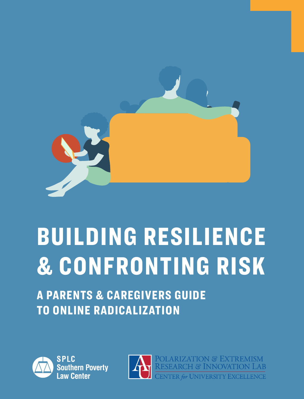

# BUILDING RESILIENCE & CONFRONTING RISK

A PARENTS & CAREGIVERS GUIDE TO ONLINE RADICALIZATION



**SPLC Southern Poverty Law Center** 

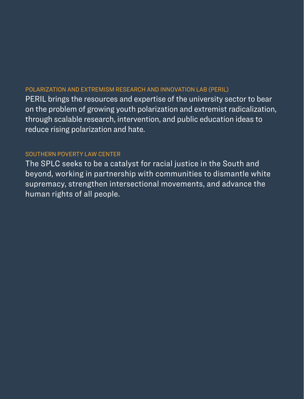### POLARIZATION AND EXTREMISM RESEARCH AND INNOVATION LAB (PERIL)

PERIL brings the resources and expertise of the university sector to bear on the problem of growing youth polarization and extremist radicalization, through scalable research, intervention, and public education ideas to reduce rising polarization and hate.

### SOUTHERN POVERTY LAW CENTER

The SPLC seeks to be a catalyst for racial justice in the South and beyond, working in partnership with communities to dismantle white supremacy, strengthen intersectional movements, and advance the human rights of all people.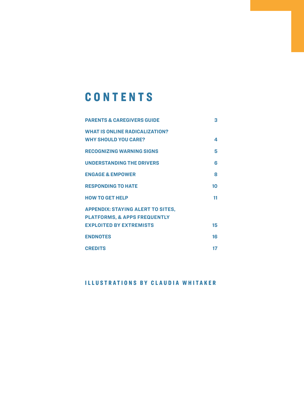## **CONTENTS**

| <b>PARENTS &amp; CAREGIVERS GUIDE</b>    | з  |
|------------------------------------------|----|
| <b>WHAT IS ONLINE RADICALIZATION?</b>    |    |
| <b>WHY SHOULD YOU CARE?</b>              | 4  |
| <b>RECOGNIZING WARNING SIGNS</b>         | 5  |
| <b>UNDERSTANDING THE DRIVERS</b>         | 6  |
| <b>ENGAGE &amp; EMPOWER</b>              | ឧ  |
| <b>RESPONDING TO HATE</b>                | 10 |
| <b>HOW TO GET HELP</b>                   | 11 |
| <b>APPENDIX: STAYING ALERT TO SITES,</b> |    |
| <b>PLATFORMS, &amp; APPS FREQUENTLY</b>  |    |
| <b>EXPLOITED BY EXTREMISTS</b>           | 15 |
| <b>ENDNOTES</b>                          | 16 |
| <b>CREDITS</b>                           | 17 |

### ILLUSTRATIONS BY CLAUDIA WHITAKER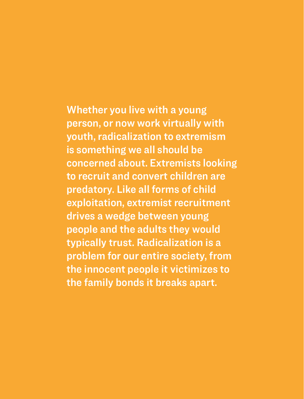Whether you live with a young person, or now work virtually with youth, radicalization to extremism is something we all should be concerned about. Extremists looking to recruit and convert children are predatory. Like all forms of child exploitation, extremist recruitment drives a wedge between young people and the adults they would typically trust. Radicalization is a problem for our entire society, from the innocent people it victimizes to the family bonds it breaks apart.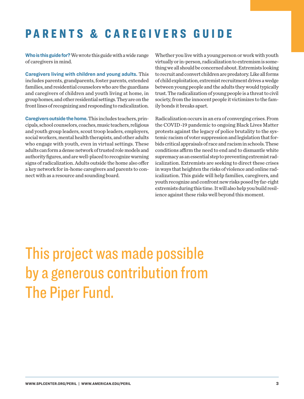### <span id="page-4-0"></span>PARENTS & CAREGIVERS GUIDE

**Who is this guide for?**We wrote this guide with a wide range of caregivers in mind.

**Caregivers living with children and young adults.** This includes parents, grandparents, foster parents, extended families, and residential counselors who are the guardians and caregivers of children and youth living at home, in group homes, and other residential settings. They are on the front lines of recognizing and responding to radicalization.

**Caregivers outside the home.** This includes teachers, principals, school counselors, coaches, music teachers, religious and youth group leaders, scout troop leaders, employers, social workers, mental health therapists, and other adults who engage with youth, even in virtual settings. These adults can form a dense network of trusted role models and authority figures, and are well-placed to recognize warning signs of radicalization. Adults outside the home also offer a key network for in-home caregivers and parents to connect with as a resource and sounding board.

Whether you live with a young person or work with youth virtually or in-person, radicalization to extremism is something we all should be concerned about. Extremists looking to recruit and convert children are predatory. Like all forms of child exploitation, extremist recruitment drives a wedge between young people and the adults they would typically trust. The radicalization of young people is a threat to civil society, from the innocent people it victimizes to the family bonds it breaks apart.

Radicalization occurs in an era of converging crises. From the COVID-19 pandemic to ongoing Black Lives Matter protests against the legacy of police brutality to the systemic racism of voter suppression and legislation that forbids critical appraisals of race and racism in schools. These conditions affirm the need to end and to dismantle white supremacy as an essential step to preventing extremist radicalization. Extremists are seeking to direct these crises in ways that heighten the risks of violence and online radicalization. This guide will help families, caregivers, and youth recognize and confront new risks posed by far-right extremists during this time. It will also help you build resilience against these risks well beyond this moment.

# This project was made possible by a generous contribution from The Piper Fund.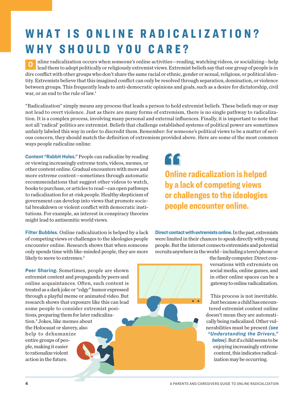# <span id="page-5-0"></span>WHAT IS ONLINE RADICALIZATION? WHY SHOULD YOU CARE?

**O** nline radicalization occurs when someone's online activities—reading, watching videos, or socializing—help lead them to adopt politically or religiously extremist views. Extremist beliefs say that one group of people is in dire conflict with other groups who don't share the same racial or ethnic, gender or sexual, religious, or political identity. Extremists believe that this imagined conflict can only be resolved through separation, domination, or violence between groups. This frequently leads to anti-democratic opinions and goals, such as a desire for dictatorship, civil war, or an end to the rule of law.<sup>[1](#page-17-0)</sup>

"Radicalization" simply means any process that leads a person to hold extremist beliefs. These beliefs may or may not lead to overt violence. Just as there are many forms of extremism, there is no single pathway to radicalization. It is a complex process, involving many personal and external influences. Finally, it is important to note that not all 'radical' politics are extremist. Beliefs that challenge established systems of political power are sometimes unfairly labeled this way in order to discredit them. Remember: for someone's political views to be a matter of serious concern, they should match the definition of extremism provided above. Here are some of the most common ways people radicalize online:

**Content "Rabbit Holes."** People can radicalize by reading or viewing increasingly extreme texts, videos, memes, or other content online. Gradual encounters with more and more extreme content—sometimes through automatic recommendations that suggest other videos to watch, books to purchase, or articles to read—can open pathways to radicalization for at-risk people. Healthy skepticism of government can develop into views that promote societal breakdown or violent conflict with democratic institutions. For example, an interest in conspiracy theories might lead to antisemitic world views.

**Filter Bubbles.** Online radicalization is helped by a lack of competing views or challenges to the ideologies people encounter online. Research shows that when someone only spends time with like-minded people, they are more likely to move to extremes.<sup>2</sup>

**Peer Sharing.** Sometimes, people are shown extremist content and propaganda by peers and online acquaintances. Often, such content is treated as a dark joke or "edgy" humor expressed through a playful meme or animated video. But research shows that exposure like this can lead some people to consider extremist positions, preparing them for later radicalization.[3](#page-17-0) Jokes, like memes about the Holocaust or slavery, also help to dehumanize entire groups of people, making it easier to rationalize violent action in the future.

66

Online radicalization is helped by a lack of competing views or challenges to the ideologies people encounter online.

**Direct contact with extremists online.** In the past, extremists were limited in their chances to speak directly with young people. But the internet connects extremists and potential recruits anywhere in the world—including a teen's phone or

 $\bullet$ 

the family computer. Direct conversations with extremists on social media, online games, and in other online spaces can be a gateway to online radicalization.

This process is not inevitable. Just because a child has encountered extremist content online doesn't mean they are automatically being radicalized. Other vulnerabilities must be present *(see "Understanding the Drivers," below)*. But if a child seems to be

enjoying increasingly extreme content, this indicates radicalization may be occurring.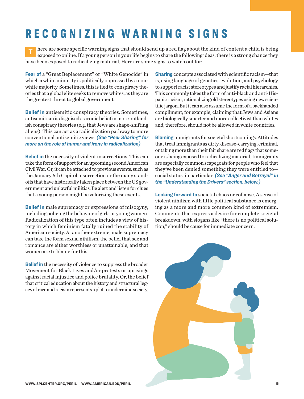# RECOGNIZING WARNING SIGNS

**T** here are some specific warning signs that should send up a red flag about the kind of content a child is being exposed to online. If a young person in your life begins to share the following ideas, there is a strong chance they have been exposed to radicalizing material. Here are some signs to watch out for:

**Fear of** a "Great Replacement" or "White Genocide" in which a white minority is politically oppressed by a nonwhite majority. Sometimes, this is tied to conspiracy theories that a global elite seeks to remove whites, as they are the greatest threat to global government.

**Belief in** antisemitic conspiracy theories. Sometimes, antisemitism is disguised as ironic belief in more outlandish conspiracy theories (e.g. that Jews are shape-shifting aliens). This can act as a radicalization pathway to more conventional antisemitic views. *(See "Peer Sharing" for more on the role of humor and irony in radicalization)*

**Belief in** the necessity of violent insurrections. This can take the form of support for an upcoming second American Civil War. Or, it can be attached to previous events, such as the January 6th Capitol insurrection or the many standoffs that have historically taken place between the US government and unlawful militias. Be alert and listen for clues that a young person might be valorizing these events.

**Belief in** male supremacy or expressions of misogyny, including policing the behavior of girls or young women. Radicalization of this type often includes a view of history in which feminism fatally ruined the stability of American society. At another extreme, male supremacy can take the form sexual nihilism, the belief that sex and romance are either worthless or unattainable, and that women are to blame for this.

**Belief in** the necessity of violence to suppress the broader Movement for Black Lives and/or protests or uprisings against racial injustice and police brutality. Or, the belief that critical education about the history and structural legacy of race and racism represents a plot to undermine society. **Sharing** concepts associated with scientific racism—that is, using language of genetics, evolution, and psychology to support racist stereotypes and justify racial hierarchies. This commonly takes the form of anti-black and anti-Hispanic racism, rationalizing old stereotypes using new scientific jargon. But it can also assume the form of a backhanded compliment; for example, claiming that Jews and Asians are biologically smarter and more collectivist than whites and, therefore, should not be allowed in white countries.

**Blaming** immigrants for societal shortcomings. Attitudes that treat immigrants as dirty, disease-carrying, criminal, or taking more than their fair share are red flags that someone is being exposed to radicalizing material. Immigrants are especially common scapegoats for people who feel that they've been denied something they were entitled to social status, in particular. *(See "Anger and Betrayal" in the "Understanding the Drivers" section, below.)* 

**Looking forward to** societal chaos or collapse. A sense of violent nihilism with little political substance is emerging as a more and more common kind of extremism. Comments that express a desire for complete societal breakdown, with slogans like "there is no political solution," should be cause for immediate concern.

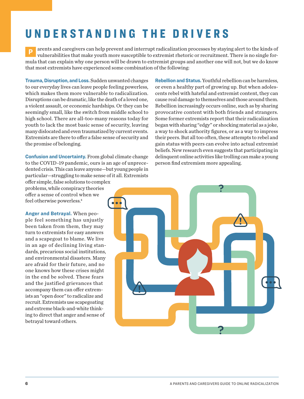### <span id="page-7-0"></span>UNDERSTANDING THE DRIVERS

**P** arents and caregivers can help prevent and interrupt radicalization processes by staying alert to the kinds of vulnerabilities that make youth more susceptible to extremist rhetoric or recruitment. There is no single formula that can explain why one person will be drawn to extremist groups and another one will not, but we do know that most extremists have experienced some combination of the following:

**Trauma, Disruption, and Loss.** Sudden unwanted changes to our everyday lives can leave people feeling powerless, which makes them more vulnerable to radicalization. Disruptions can be dramatic, like the death of a loved one, a violent assault, or economic hardships. Or they can be seemingly small, like the switch from middle school to high school. There are all-too-many reasons today for youth to lack the most basic sense of security, leaving many dislocated and even traumatized by current events. Extremists are there to offer a false sense of security and the promise of belonging.

**Confusion and Uncertainty.** From global climate change to the COVID-19 pandemic, ours is an age of unprecedented crisis. This can leave anyone—but young people in particular—struggling to make sense of it all. Extremists

offer simple, false solutions to complex problems, while conspiracy theories offer a sense of control when we feel otherwise powerless[.4](#page-17-0)

**Anger and Betrayal.** When people feel something has unjustly been taken from them, they may turn to extremists for easy answers and a scapegoat to blame. We live in an age of declining living standards, precarious social institutions, and environmental disasters. Many are afraid for their future, and no one knows how these crises might in the end be solved. These fears and the justified grievances that accompany them can offer extremists an "open door" to radicalize and recruit. Extremists use scapegoating and extreme black-and-white thinking to direct that anger and sense of betrayal toward others.

**Rebellion and Status.** Youthful rebellion can be harmless, or even a healthy part of growing up. But when adolescents rebel with hateful and extremist content, they can cause real damage to themselves and those around them. Rebellion increasingly occurs online, such as by sharing provocative content with both friends and strangers. Some former extremists report that their radicalization began with sharing "edgy" or shocking material as a joke, a way to shock authority figures, or as a way to impress their peers. But all too often, these attempts to rebel and gain status with peers can evolve into actual extremist beliefs. New research even suggests that participating in delinquent online activities like trolling can make a young person find extremism more appealing.

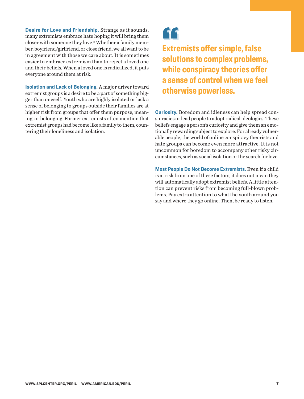<span id="page-8-0"></span>**Desire for Love and Friendship.** Strange as it sounds, many extremists embrace hate hoping it will bring them closer with someone they love.<sup>[5](#page-17-0)</sup> Whether a family member, boyfriend/girlfriend, or close friend, we all want to be in agreement with those we care about. It is sometimes easier to embrace extremism than to reject a loved one and their beliefs. When a loved one is radicalized, it puts everyone around them at risk.

**Isolation and Lack of Belonging.** A major driver toward extremist groups is a desire to be a part of something bigger than oneself. Youth who are highly isolated or lack a sense of belonging to groups outside their families are at higher risk from groups that offer them purpose, meaning, or belonging. Former extremists often mention that extremist groups had become like a family to them, countering their loneliness and isolation.

### "

Extremists offer simple, false solutions to complex problems, while conspiracy theories offer a sense of control when we feel otherwise powerless.

**Curiosity.** Boredom and idleness can help spread conspiracies or lead people to adopt radical ideologies. These beliefs engage a person's curiosity and give them an emotionally rewarding subject to explore. For already vulnerable people, the world of online conspiracy theorists and hate groups can become even more attractive. It is not uncommon for boredom to accompany other risky circumstances, such as social isolation or the search for love.

**Most People Do Not Become Extremists.** Even if a child is at risk from one of these factors, it does not mean they will automatically adopt extremist beliefs. A little attention can prevent risks from becoming full-blown problems. Pay extra attention to what the youth around you say and where they go online. Then, be ready to listen.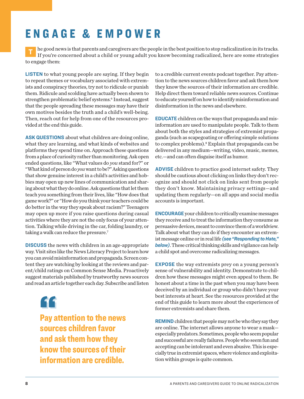### <span id="page-9-0"></span>ENGAGE & EMPOWER

**T** he good news is that parents and caregivers are the people in the best position to stop radicalization in its tracks. If you're concerned about a child or young adult you know becoming radicalized, here are some strategies to engage them:

**LISTEN** to what young people are saying. If they begin to repeat themes or vocabulary associated with extremists and conspiracy theories, try not to ridicule or punish them. Ridicule and scolding have actually been shown to strengthen problematic belief systems.<sup>[6](#page-17-0)</sup> Instead, suggest that the people spreading these messages may have their own motives besides the truth and a child's well-being. Then, reach out for help from one of the resources provided at the end this guide.

**ASK QUESTIONS** about what children are doing online, what they are learning, and what kinds of websites and platforms they spend time on. Approach these questions from a place of curiosity rather than monitoring. Ask open ended questions, like "What values do *you* stand for?" or "What kind of person do *you* want to be?" Asking questions that show genuine interest in a child's activities and hobbies may open up new lines of communication and sharing about what they do online. Ask questions that let them teach you something from their lives, like "How does that game work?" or "How do you think your teachers could be do better in the way they speak about racism?" Teenagers may open up more if you raise questions during casual activities where they are not the only focus of your attention. Talking while driving in the car, folding laundry, or taking a walk can reduce the pressure.<sup>[7](#page-17-0)</sup>

**DISCUSS** the news with children in an age-appropriate way. Visit sites like the [News Literacy Project](https://newslit.org) to learn how you can avoid misinformation and propaganda. Screen content they are watching by looking at the reviews and parent/child ratings on Common Sense Media. Proactively suggest materials published by trustworthy news sources and read an article together each day. Subscribe and listen

11

Pay attention to the news sources children favor and ask them how they know the sources of their information are credible.

to a credible current events podcast together. Pay attention to the news sources children favor and ask them how they know the sources of their information are credible. Help direct them toward reliable news sources. Continue to educate yourself on how to identify misinformation and disinformation in the news and elsewhere.

**EDUCATE** children on the ways that propaganda and misinformation are used to manipulate people. Talk to them about both the styles and strategies of extremist propaganda (such as scapegoating or offering simple solutions to complex problems).<sup>8</sup> Explain that propaganda can be delivered in any medium—writing, video, music, memes, etc.—and can often disguise itself as humor.

**ADVISE** children to practice good internet safety. They should be cautious about clicking on links they don't recognize and should not click on links sent from people they don't know. Maintaining privacy settings—and updating them regularly—on all apps and social media accounts is important.

**ENCOURAGE** your children to critically examine messages they receive and to treat the information they consume as persuasive devices, meant to convince them of a worldview. Talk about what they can do if they encounter an extremist message online or in real life *(see "Responding to Hate," below)*. These critical thinking skills and vigilance can help a child spot and overcome radicalizing messages.

**EXPOSE** the way extremists prey on a young person's sense of vulnerability and identity. Demonstrate to children how these messages might even appeal to them. Be honest about a time in the past when you may have been deceived by an individual or group who didn't have your best interests at heart. See the resources provided at the end of this guide to learn more about the experiences of former extremists and share them.

**REMIND** children that people may not be who they say they are online. The internet allows anyone to wear a mask especially predators. Sometimes, people who seem popular and successful are really failures. People who seem fun and accepting can be intolerant and even abusive. This is especially true in extremist spaces, where violence and exploitation within groups is quite common.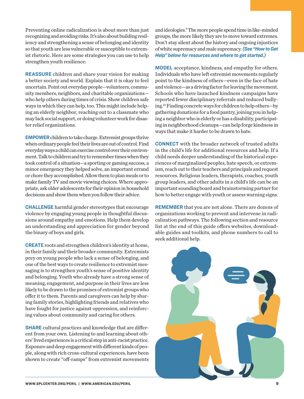<span id="page-10-0"></span>Preventing online radicalization is about more than just recognizing and avoiding risks. It's also about building resiliency and strengthening a sense of belonging and identity so that youth are less vulnerable or susceptible to extremist rhetoric. Here are some strategies you can use to help strengthen youth resilience:

**REASSURE** children and share your vision for making a better society and world. Explain that it is okay to feel uncertain. Point out everyday people—volunteers, community members, neighbors, and charitable organizations who help others during times of crisis. Show children safe ways in which they can help, too. This might include helping an elderly neighbor, reaching out to a classmate who may lack social support, or doing volunteer work for disaster relief organizations.

**EMPOWER**children to take charge. Extremist groups thrive when ordinary people feel their lives are out of control. Find everyday ways a child can exercise control over their environment. Talk to children and try to remember times when they took control of a situation—a sporting or gaming success, a minor emergency they helped solve, an important errand or chore they accomplished. Allow them to plan meals or to make family TV and movie viewing choices. Where appropriate, ask older adolescents for their opinion in household decisions and show them when you follow their advice.

**CHALLENGE** harmful gender stereotypes that encourage violence by engaging young people in thoughtful discussions around empathy and emotions. Help them develop an understanding and appreciation for gender beyond the binary of boys and girls.

**CREATE** roots and strengthen children's identity at home, in their family and their broader community. Extremists prey on young people who lack a sense of belonging, and one of the best ways to create resilience to extremist messaging is to strengthen youth's sense of positive identity and belonging. Youth who already have a strong sense of meaning, engagement, and purpose in their lives are less likely to be drawn to the promises of extremist groups who offer it to them. Parents and caregivers can help by sharing family stories, highlighting friends and relatives who have fought for justice against oppression, and reinforcing values about community and caring for others.

**SHARE** cultural practices and knowledge that are different from your own. Listening to and learning about others' lived experiences is a critical step in anti-racist practice. Exposure and deep engagement with different kinds of people, along with rich cross-cultural experiences, have been shown to create "off-ramps" from extremist movements and ideologies.<sup>9</sup> The more people spend time in like-minded groups, the more likely they are to move toward extremes. Don't stay silent about the history and ongoing injustices of white supremacy and male supremacy. *(See "How to Get Help" below for resources and where to get started.)* 

**MODEL** acceptance, kindness, and empathy for others. Individuals who have left extremist movements regularly point to the kindness of others—even in the face of hate and violence—as a driving factor for leaving the movement. Schools who have launched kindness campaigns have reported fewer disciplinary referrals and reduced bullying.[10](#page-17-0) Finding concrete ways for children to help others—by gathering donations for a food pantry, joining you in helping a neighbor who is elderly or has a disability, participating in neighborhood cleanups—can help forge kindness in ways that make it harder to be drawn to hate.

**CONNECT** with the broader network of trusted adults in the child's life for additional resources and help. If a child needs deeper understanding of the historical experiences of marginalized peoples, hate speech, or extremism, reach out to their teachers and principals and request resources. Religious leaders, therapists, coaches, youth group leaders, and other adults in a child's life can be an important sounding board and brainstorming partner for how to better engage with youth or assess warning signs.

**REMEMBER** that you are not alone. There are dozens of organizations working to prevent and intervene in radicalization pathways. The following section and resource list at the end of this guide offers websites, downloadable guides and toolkits, and phone numbers to call to seek additional help.

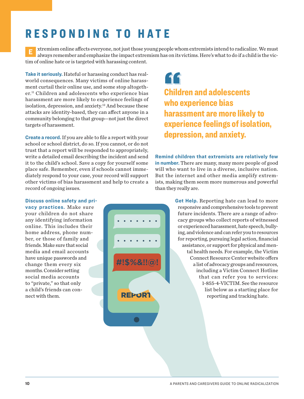### <span id="page-11-0"></span>RESPONDING TO HATE

**E** xtremism online affects everyone, not just those young people whom extremists intend to radicalize. We must always remember and emphasize the impact extremism has on its victims. Here's what to do if a child is the victim of online hate or is targeted with harassing content.

**Take it seriously.** Hateful or harassing conduct has realworld consequences. Many victims of online harassment curtail their online use, and some stop altogether.[11](#page-17-0) Children and adolescents who experience bias harassment are more likely to experience feelings of isolation, depression, and anxiety.<sup>12</sup> And because these attacks are identity-based, they can affect anyone in a community belonging to that group—not just the direct targets of harassment.

**Create a record.** If you are able to file a report with your school or school district, do so. If you cannot, or do not trust that a report will be responded to appropriately, write a detailed email describing the incident and send it to the child's school. Save a copy for yourself some place safe. Remember, even if schools cannot immediately respond to your case, your record will support other victims of bias harassment and help to create a record of ongoing issues.

### "

Children and adolescents who experience bias harassment are more likely to experience feelings of isolation, depression, and anxiety.

**Remind children that extremists are relatively few in number.** There are many, many more people of good will who want to live in a diverse, inclusive nation. But the internet and other media amplify extremists, making them seem more numerous and powerful than they really are.

#### **Discuss online safety and pri-**

**vacy practices.** Make sure your children do not share any identifying information online. This includes their home address, phone number, or those of family and friends. Make sure that social media and email accounts have unique passwords and change them every six months. Consider setting social media accounts to "private," so that only a child's friends can connect with them.



**Get Help.** Reporting hate can lead to more responsive and comprehensive tools to prevent future incidents. There are a range of advocacy groups who collect reports of witnessed or experienced harassment, hate speech, bullying, and violence and can refer you to resources for reporting, pursuing legal action, financial assistance, or support for physical and mental health needs. For example, the Victim Connect Resource Center website offers a list of advocacy groups and resources, including a Victim Connect Hotline that can refer you to services: 1-855-4-VICTIM. See the resource list below as a starting place for reporting and tracking hate.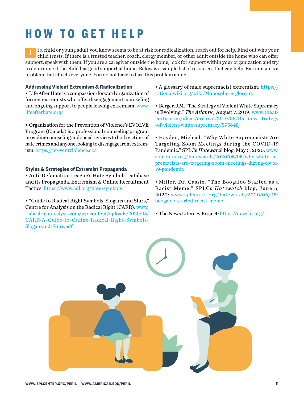# <span id="page-12-0"></span>HOW TO GET HELP

**I** f a child or young adult you know seems to be at risk for radicalization, reach out for help. Find out who your child trusts. If there is a trusted teacher, coach, clergy member, or other adult outside the home who can offer support, speak with them. If you are a caregiver outside the home, look for support within your organization and try to determine if the child has good support at home. Below is a sample list of resources that can help. Extremism is a problem that affects everyone. You do not have to face this problem alone.

#### Addressing Violent Extremism & Radicalization

• Life After Hate is a compassion-forward organization of former extremists who offer disengagement counseling and ongoing support to people leaving extremism: [www.](http://www.lifeafterhate.org/) [lifeafterhate.org/](http://www.lifeafterhate.org/)

• Organization for the Prevention of Violence's EVOLVE Program (Canada) is a professional counseling program providing counseling and social services to both victims of hate crimes and anyone looking to disengage from extremism:<https://preventviolence.ca/>

#### Styles & Strategies of Extremist Propaganda

• Anti-Defamation League's Hate Symbols Database and its Propaganda, Extremism & Online Recruitment Tactics: <https://www.adl.org/hate-symbols>

• "Guide to Radical Right Symbols, Slogans and Slurs," Centre for Analysis on the Radical Right (CARR): [www.](http://www.radicalrightanalysis.com/wp-content/uploads/2020/05/CARR-A-Guide-to-Online-Radical-Right-Symbols-Slogan-and-Slurs.pdf) [radicalrightanalysis.com/wp-content/uploads/2020/05/](http://www.radicalrightanalysis.com/wp-content/uploads/2020/05/CARR-A-Guide-to-Online-Radical-Right-Symbols-Slogan-and-Slurs.pdf) [CARR-A-Guide-to-Online-Radical-Right-Symbols-](http://www.radicalrightanalysis.com/wp-content/uploads/2020/05/CARR-A-Guide-to-Online-Radical-Right-Symbols-Slogan-and-Slurs.pdf)[Slogan-and-Slurs.pdf](http://www.radicalrightanalysis.com/wp-content/uploads/2020/05/CARR-A-Guide-to-Online-Radical-Right-Symbols-Slogan-and-Slurs.pdf)

• A glossary of male supremacist extremism: [https://](https://rationalwiki.org/wiki/Manosphere_glossary) [rationalwiki.org/wiki/Manosphere\\_glossary](https://rationalwiki.org/wiki/Manosphere_glossary)

• Berger, J.M. "The Strategy of Violent White Supremacy is Evolving." *The Atlantic,* August 7, 2019: [www.theat](http://www.theatlantic.com/ideas/archive/2019/08/the-new-strategy-of-violent-white-supremacy/595648/)[lantic.com/ideas/archive/2019/08/the-new-strategy](http://www.theatlantic.com/ideas/archive/2019/08/the-new-strategy-of-violent-white-supremacy/595648/) [-of-violent-white-supremacy/595648/](http://www.theatlantic.com/ideas/archive/2019/08/the-new-strategy-of-violent-white-supremacy/595648/)

• Hayden, Michael. "Why White Supremacists Are Targeting Zoom Meetings during the COVID -19 Pandemic." SPLCs *Hatewatch* blog, May 5, 2020: [www.](http://www.splcenter.org/hatewatch/2020/05/05/why-white-supremacists-are-targeting-zoom-meetings-during-covid-19-pandemic) [splcenter.org/hatewatch/2020/05/05/why-white-su](http://www.splcenter.org/hatewatch/2020/05/05/why-white-supremacists-are-targeting-zoom-meetings-during-covid-19-pandemic)[premacists-are-targeting-zoom-meetings-during-covid-](http://www.splcenter.org/hatewatch/2020/05/05/why-white-supremacists-are-targeting-zoom-meetings-during-covid-19-pandemic)[19-pandemic](http://www.splcenter.org/hatewatch/2020/05/05/why-white-supremacists-are-targeting-zoom-meetings-during-covid-19-pandemic)

• Miller, Dr. Cassie. "The Boogaloo Started as a Racist Meme." SPLCs *Hatewatch* blog, June 5, 2020: [www.splcenter.org/ hatewatch/2020/06/05/](http://www.splcenter.org/hatewatch/2020/06/05/boogaloo-started-racist-meme) [boogaloo-started-racist-meme](http://www.splcenter.org/hatewatch/2020/06/05/boogaloo-started-racist-meme)

• The News Literacy Project: <https://newslit.org/>

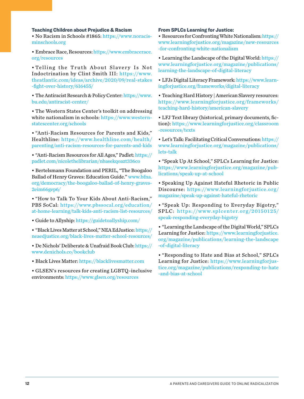#### Teaching Children about Prejudice & Racism

• No Racism in Schools #1865: [https://www.noracis](https://www.noracisminschools.org)[minschools.org](https://www.noracisminschools.org)

• Embrace Race, Resources: [https://www.embracerace.](https://www.embracerace.org/resources) [org/resources](https://www.embracerace.org/resources)

• Telling the Truth About Slavery Is Not Indoctrination by Clint Smith III: [https://www.](https://www.theatlantic.com/ideas/archive/2020/09/real-stakes-fight-over-history/616455/) [theatlantic.com/ideas/archive/2020/09/real-stakes](https://www.theatlantic.com/ideas/archive/2020/09/real-stakes-fight-over-history/616455/) [-fight-over-history/616455/](https://www.theatlantic.com/ideas/archive/2020/09/real-stakes-fight-over-history/616455/)

• The Antiracist Research & Policy Center: [https://www.](https://www.bu.edu/antiracist-center/) [bu.edu/antiracist-center/](https://www.bu.edu/antiracist-center/)

• The Western States Center's toolkit on addressing white nationalism in schools: [https://www.western](https://www.westernstatescenter.org/schools)[statescenter.org/schools](https://www.westernstatescenter.org/schools)

• "Anti-Racism Resources for Parents and Kids," Healthline: [https://www.healthline.com/ health/](https://www.healthline.com/health/parenting/anti-racism-resources-for-parents-and-kids) [parenting/anti-racism-resources-for-parents-and-kids](https://www.healthline.com/health/parenting/anti-racism-resources-for-parents-and-kids)

• "Anti-Racism Resources for All Ages," Padlet: [https://](https://padlet.com/nicolethelibrarian/nbasekqoazt336co) [padlet.com/nicolethelibrarian/nbasekqoazt336co](https://padlet.com/nicolethelibrarian/nbasekqoazt336co)

• Bertelsmann Foundation and PERIL, "The Boogaloo Ballad of Henry Graves: Education Guide." [www.bfna.](https://www.bfna.org/democracy/the-boogaloo-ballad-of-henry-graves-3eim66gep6/) [org/democracy/the-boogaloo-ballad-of-henry-graves-](https://www.bfna.org/democracy/the-boogaloo-ballad-of-henry-graves-3eim66gep6/)[2eim66gep6/](https://www.bfna.org/democracy/the-boogaloo-ballad-of-henry-graves-3eim66gep6/)

• "How to Talk To Your Kids About Anti-Racism," PBS SoCal: [https://www.pbssocal.org/education/](https://www.pbssocal.org/education/at-home-learning/talk-kids-anti-racism-list-resources/) [at-home-learning/talk-kids-anti-racism-list-resources/](https://www.pbssocal.org/education/at-home-learning/talk-kids-anti-racism-list-resources/)

• Guide to Allyship: <https://guidetoallyship.com/>

• "Black Lives Matter at School," NEA EdJustice: [https://](https://neaedjustice.org/black-lives-matter-school-resources/) [neaedjustice.org/black-lives-matter-school-resources/](https://neaedjustice.org/black-lives-matter-school-resources/)

• De Nichols' Deliberate & Unafraid Book Club: [https://](https://www.denichols.co/bookclub) [www.denichols.co/bookclub](https://www.denichols.co/bookclub)

• Black Lives Matter:<https://blacklivesmatter.com>

• GLSEN's resources for creating LGBTQ-inclusive environments: [https://www.glsen.org/resources](https://www.glsen.org/resources )

#### From SPLCs Learning for Justice:

• Resources for Confronting White Nationalism: [https://](https://www.learningforjustice.org/magazine/new-resources-for-confronting-white-nationalism ) [www.learningforjustice.org/magazine/new-resources](https://www.learningforjustice.org/magazine/new-resources-for-confronting-white-nationalism ) [-for-confronting-white-nationalism](https://www.learningforjustice.org/magazine/new-resources-for-confronting-white-nationalism ) 

• Learning the Landscape of the Digital World: [https://](https://www.learningforjustice.org/magazine/publications/learning-the-landscape-of-digital-literacy) [www.learningforjustice.org/magazine/publications/](https://www.learningforjustice.org/magazine/publications/learning-the-landscape-of-digital-literacy) [learning-the-landscape-of-digital-literacy](https://www.learningforjustice.org/magazine/publications/learning-the-landscape-of-digital-literacy)

• LFJs Digital Literacy Framework: [https://www.learn](https://www.learningforjustice.org/frameworks/digital-literacy )[ingforjustice.org/frameworks/digital-literacy](https://www.learningforjustice.org/frameworks/digital-literacy ) 

• Teaching Hard History | American Slavery resources: [https://www.learningforjustice.org/frameworks/](https://www.learningforjustice.org/frameworks/teaching-hard-history/american-slavery) [teaching-hard-history/american-slavery](https://www.learningforjustice.org/frameworks/teaching-hard-history/american-slavery)

• LFJ Text library (historical, primary documents, fiction): [https://www.learningforjustice.org/classroom](https://www.learningforjustice.org/classroom-resources/texts) [-resources/texts](https://www.learningforjustice.org/classroom-resources/texts)

• Let's Talk: Facilitating Critical Conversations: [https://](https://www.learningforjustice.org/magazine/publications/lets-talk) [www.learningforjustice.org/magazine/publications/](https://www.learningforjustice.org/magazine/publications/lets-talk) [lets-talk](https://www.learningforjustice.org/magazine/publications/lets-talk)

• "Speak Up At School," SPLCs Learning for Justice: [https://www.learningforjustice.org/magazine/pub](https://www.learningforjustice.org/magazine/publications/speak-up-at-school)[lications/speak-up-at-school](https://www.learningforjustice.org/magazine/publications/speak-up-at-school)

• Speaking Up Against Hateful Rhetoric in Public Discourse: [https://www.learningforjustice.org/](https://www.learningforjustice.org/magazine/speak-up-against-hateful-rhetoric) [magazine/speak-up-against-hateful-rhetoric](https://www.learningforjustice.org/magazine/speak-up-against-hateful-rhetoric)

• "Speak Up: Responding to Everyday Bigotry," SPLC: [https://www.splcenter.org/20150125/](https://www.splcenter.org/20150125/speak-responding-everyday-bigotry ) [speak-responding-everyday-bigotry](https://www.splcenter.org/20150125/speak-responding-everyday-bigotry ) 

• "Learning the Landscape of the Digital World," SPLCs Learning for Justice: [https://www.learningforjustice.](https://www.learningforjustice.org/magazine/publications/learning-the-landscape-of-digital-literacy ) [org/magazine/publications/learning-the-landscape](https://www.learningforjustice.org/magazine/publications/learning-the-landscape-of-digital-literacy ) [-of-digital-literacy](https://www.learningforjustice.org/magazine/publications/learning-the-landscape-of-digital-literacy ) 

• "Responding to Hate and Bias at School," SPLCs Learning for Justice: [https://www.learningforjus](https://www.learningforjustice.org/magazine/publications/responding-to-hate-and-bias-at-school)[tice.org/magazine/publications/responding-to-hate](https://www.learningforjustice.org/magazine/publications/responding-to-hate-and-bias-at-school) [-and-bias-at-school](https://www.learningforjustice.org/magazine/publications/responding-to-hate-and-bias-at-school)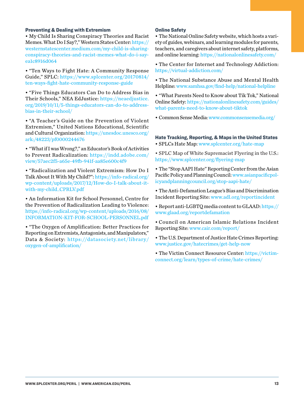#### <span id="page-14-0"></span>Preventing & Dealing with Extremism

• My Child Is Sharing Conspiracy Theories and Racist Memes. What Do I Say?," Western States Center: [https://](https://westernstatescenter.medium.com/my-child-is-sharing-conspiracy-theories-and-racist-memes-what-do-i-say-ea1c8916d064) [westernstatescenter.medium.com/my-child-is-sharing](https://westernstatescenter.medium.com/my-child-is-sharing-conspiracy-theories-and-racist-memes-what-do-i-say-ea1c8916d064)[conspiracy-theories-and-racist-memes-what-do-i-say](https://westernstatescenter.medium.com/my-child-is-sharing-conspiracy-theories-and-racist-memes-what-do-i-say-ea1c8916d064)[ea1c8916d064](https://westernstatescenter.medium.com/my-child-is-sharing-conspiracy-theories-and-racist-memes-what-do-i-say-ea1c8916d064)

• "Ten Ways to Fight Hate: A Community Response Guide," SPLC: [https://www.splcenter.org/20170814/](https://www.splcenter.org/20170814/ten-ways-fight-hate-community-response-guide) [ten-ways-fight-hate-community-response-guide](https://www.splcenter.org/20170814/ten-ways-fight-hate-community-response-guide)

• "Five Things Educators Can Do to Address Bias in Their Schools," NEA EdJustice: [https://neaedjustice.](https://neaedjustice.org/2019/10/11/5-things-educators-can-do-to-address-bias-in-their-school/) [org/2019/10/11/5-things-educators-can-do-to-address](https://neaedjustice.org/2019/10/11/5-things-educators-can-do-to-address-bias-in-their-school/)[bias-in-their-school/](https://neaedjustice.org/2019/10/11/5-things-educators-can-do-to-address-bias-in-their-school/)

• "A Teacher's Guide on the Prevention of Violent Extremism," United Nations Educational, Scientific and Cultural Organization: [https://unesdoc.unesco.org/](https://unesdoc.unesco.org/ark:/48223/pf0000244676) [ark:/48223/pf0000244676](https://unesdoc.unesco.org/ark:/48223/pf0000244676)

• "What if I was Wrong?," an Educator's Book of Activities to Prevent Radicalization: [https://indd.adobe.com/](https://indd.adobe.com/view/57aec2f5-a65e-49fb-941f-aa85e600c4f9) [view/57aec2f5-a65e-49fb-941f-aa85e600c4f9](https://indd.adobe.com/view/57aec2f5-a65e-49fb-941f-aa85e600c4f9)

• "Radicalization and Violent Extremism: How Do I Talk About It With My Child?": [https://info-radical.org/](https://info-radical.org/wp-content/uploads/2017/12/How-do-I-talk-about-it-with-my-child_CPRLV.pdf) [wp-content/uploads/2017/12/How-do-I-talk-about-it](https://info-radical.org/wp-content/uploads/2017/12/How-do-I-talk-about-it-with-my-child_CPRLV.pdf)[with-my-child\\_CPRLV.pdf](https://info-radical.org/wp-content/uploads/2017/12/How-do-I-talk-about-it-with-my-child_CPRLV.pdf)

• An Information Kit for School Personnel, Centre for the Prevention of Radicalization Leading to Violence: [https://info-radical.org/wp-content/uploads/2016/08/](https://info-radical.org/wp-content/uploads/2016/08/INFORMATION-KIT-FOR-SCHOOL-PERSONNEL.pdf) [INFORMATION-KIT-FOR-SCHOOL-PERSONNEL.pdf](https://info-radical.org/wp-content/uploads/2016/08/INFORMATION-KIT-FOR-SCHOOL-PERSONNEL.pdf)

• "The Oxygen of Amplification: Better Practices for Reporting on Extremists, Antagonists, and Manipulators," Data & Society: https://datasociety.net/library/ [oxygen-of-amplification/](https://datasociety.net/library/oxygen-of-amplification/)

#### Online Safety

• The National Online Safety website, which hosts a variety of guides, webinars, and learning modules for parents, teachers, and caregivers about internet safety, platforms, and online learning: <https://nationalonlinesafety.com/>

• The Center for Internet and Technology Addiction: <https://virtual-addiction.com/>

• The National Substance Abuse and Mental Health Helpline: [www.samhsa.gov/find-help/national-helpline](http://www.samhsa.gov/find-help/national-helpline)

• "What Parents Need to Know about Tik Tok," National Online Safety: [https://nationalonlinesafety.com/guides/](https://nationalonlinesafety.com/guides/what-parents-need-to-know-about-tiktok) [what-parents-need-to-know-about-tiktok](https://nationalonlinesafety.com/guides/what-parents-need-to-know-about-tiktok)

• Common Sense Media: [www.commonsensemedia.org/](http://www.commonsensemedia.org/)

#### Hate Tracking, Reporting, & Maps in the United States

• SPLCs Hate Map: [www.splcenter.org/hate-map](http://www.splcenter.org/hate-map)

• SPLC Map of White Supremacist Flyering in the U.S.: <https://www.splcenter.org/flyering-map>

• The "Stop AAPI Hate" Reporting Center from the Asian Pacific Policy and Planning Council: [www.asianpacificpol](http://www.asianpacificpolicyandplanningcouncil.org/stop-aapi-hate/)[icyandplanningcouncil.org/stop-aapi-hate/](http://www.asianpacificpolicyandplanningcouncil.org/stop-aapi-hate/)

• The Anti-Defamation League's Bias and Discrimination Incident Reporting Site: [www.adl.org/reportincident](http://www.adl.org/reportincident)

• Report anti-LGBTQ media content to GLAAD: [https://](https://www.glaad.org/reportdefamation) [www.glaad.org/reportdefamation](https://www.glaad.org/reportdefamation)

• Council on American Islamic Relations Incident Reporting Site: [www.cair.com/report/](http://www.cair.com/report/)

- The U.S. Department of Justice Hate Crimes Reporting: [www.justice.gov/hatecrimes/get-help-now](http://www.justice.gov/hatecrimes/get-help-now)
- The Victim Connect Resource Center: [https://victim](https://victimconnect.org/learn/types-of-crime/hate-crimes/)[connect.org/learn/types-of-crime/hate-crimes/](https://victimconnect.org/learn/types-of-crime/hate-crimes/)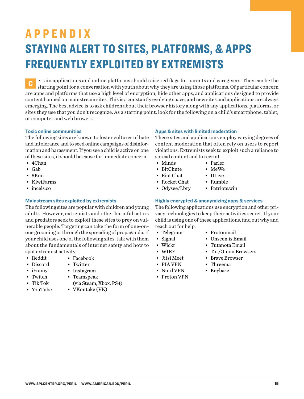# APPENDIX STAYING ALERT TO SITES, PLATFORMS, & APPS FREQUENTLY EXPLOITED BY EXTREMISTS

**C** ertain applications and online platforms should raise red flags for parents and caregivers. They can be the starting point for a conversation with youth about why they are using those platforms. Of particular concern are apps and platforms that use a high level of encryption, hide other apps, and applications designed to provide content banned on mainstream sites. This is a constantly evolving space, and new sites and applications are always emerging. The best advice is to ask children about their browser history along with any applications, platforms, or sites they use that you don't recognize. As a starting point, look for the following on a child's smartphone, tablet, or computer and web browers.

#### **Toxic online communities**

The following sites are known to foster cultures of hate and intolerance and to seed online campaigns of disinformation and harassment. If you see a child is active on one of these sites, it should be cause for immediate concern.

- 4Chan
- Gab
- 8Kun
- KiwiFarms
- incels.co

#### **Mainstream sites exploited by extremists**

The following sites are popular with children and young adults. However, extremists and other harmful actors and predators seek to exploit these sites to prey on vulnerable people. Targeting can take the form of one-onone grooming or through the spreading of propaganda. If your child uses one of the following sites, talk with them about the fundamentals of internet safety and how to spot extremist activity.

- Reddit
- 
- Discord • iFunny • Twitch
- -
- Tik Tok
- 

#### **Apps & sites with limited moderation**

These sites and applications employ varying degrees of content moderation that often rely on users to report violations. Extremists seek to exploit such a reliance to spread content and to recruit.

- Minds
- BitChute • Riot Chat

• Rocket Chat

• MeWe • DLive

• Parler

- Rumble
- Odysee/Lbry • Patriots.win

#### **Highly encrypted & anonymizing apps & services**

The following applications use encryption and other privacy technologies to keep their activities secret. If your child is using one of these applications, find out why and reach out for help.

- Telegram
- Protonmail
- Unseen.is Email
- Tutanota Email
- Tor/Onion Browsers
- Brave Browser
- Threema
- Keybase

**WWW.SPLCENTER.ORG/PERIL | WWW.AMERICAN.EDU/PERIL 15**

- Jitsi Meet
- 
- Facebook
	-
	-
- (via Steam, Xbox, PS4)
- YouTube • VKontake (VK)
- Twitter
- Instagram
- Teamspeak
- 
- Signal • Wickr
- WIRE
- 
- Nord VPN
- Proton VPN
- 
- PIA VPN
	-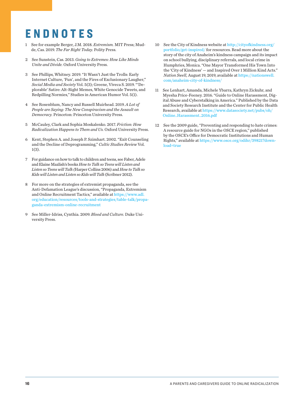### <span id="page-17-0"></span>ENDNOTES

- [1](#page-5-0) See for example Berger, J.M. 2018. *Extremism.* MIT Press; Mudde, Cas. 2019. *The Far Right Today.* Polity Press.
- [2](#page-5-0) See Sunstein, Cas. 2013. *Going to Extremes: How Like Minds Unite and Divide.* Oxford University Press.
- [3](#page-5-0) See Phillips, Whitney. 2019. "It Wasn't Just the Trolls: Early Internet Culture, 'Fun', and the Fires of Exclusionary Laugher," *Social Media and Society* Vol. 5(3); Greene, Viveca S. 2019. "'Deplorable' Satire: Alt-Right Memes, White Genocide Tweets, and Redpilling Normies," Studies in American Humor Vol. 5(1).
- [4](#page-7-0) See Rosenblum, Nancy and Russell Muirhead. 2019. *A Lot of People are Saying: The New Conspiracism and the Assault on Democracy.* Princeton: Princeton University Press.
- [5](#page-8-0) McCauley, Clark and Sophia Moskalenko. 2017. *Friction: How Radicalization Happens to Them and Us.* Oxford University Press.
- [6](#page-9-0) Kent, Stephen A. and Joseph P. Szimhart. 2002. "Exit Counseling and the Decline of Deprogramming," *Cultic Studies Review* Vol. 1(3).
- [7](#page-9-0) For guidance on how to talk to children and teens, see Faber, Adele and Elaine Mazlish's books *How to Talk so Teens will Listen and Listen so Teens will Talk (*Harper Collins 2006) and *How to Talk so Kids will Listen and Listen so Kids will Talk* (Scribner 2012).
- [8](#page-9-0) For more on the strategies of extremist propaganda, see the Anti-Defamation League's discussion, "Propaganda, Extremism and Online Recruitment Tactics," available at [https://www.adl.](https://www.adl.org/education/resources/tools-and-strategies/table-talk/propaganda-extremism-online-recruitment) [org/education/resources/tools-and-strategies/table-talk/propa](https://www.adl.org/education/resources/tools-and-strategies/table-talk/propaganda-extremism-online-recruitment)[ganda-extremism-online-recruitment](https://www.adl.org/education/resources/tools-and-strategies/table-talk/propaganda-extremism-online-recruitment)
- [9](#page-10-0) See Miller-Idriss, Cynthia. 2009. *Blood and Culture.* Duke University Press.
- [10](#page-10-0) See the City of Kindness website at [http://cityofkindness.org/](http://cityofkindness.org/portfolio/get-inspired/) [portfolio/get-inspired/](http://cityofkindness.org/portfolio/get-inspired/) for resources. Read more about the story of the city of Anaheim's kindness campaign and its impact on school bullying, disciplinary referrals, and local crime in Humphries, Monica. "One Mayor Transformed His Town Into the 'City of Kindness' — and Inspired Over 1 Million Kind Acts." *Nation Swell,* August 19, 2019, available at [https://nationswell.](https://nationswell.com/anaheim-city-of-kindness/) [com/anaheim-city-of-kindness/](https://nationswell.com/anaheim-city-of-kindness/)
- [11](#page-11-0) See Lenhart, Amanda, Michele Ybarra, Kathryn Zickuhr, and Myesha Price-Feeney. 2016. "Guide to Online Harassment, Digital Abuse and Cyberstalking in America." Published by the Data and Society Research Institute and the Center for Public Health Research, available at [https://www.datasociety.net/pubs/oh/](https://www.datasociety.net/pubs/oh/Online_Harassment_2016.pdf) [Online\\_Harassment\\_2016.pdf](https://www.datasociety.net/pubs/oh/Online_Harassment_2016.pdf)
- [12](#page-11-0) See the 2009 guide, "Preventing and responding to hate crimes: A resource guide for NGOs in the OSCE region," published by the OSCE's Office for Democratic Institutions and Human Rights," available at [https://www.osce.org/odihr/39821?down](https://www.osce.org/odihr/39821?download=true)[load=true](https://www.osce.org/odihr/39821?download=true)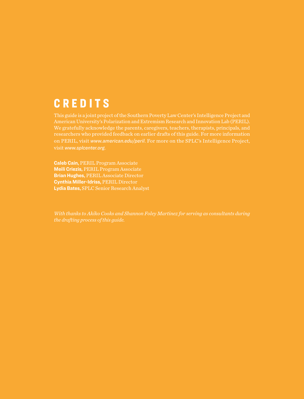### **CREDITS**

on PERIL, visit *[www.american.edu/peril](http://www.american.edu/peril)*. For more on the SPLC's Intelligence Project, visit *[www.splcenter.org](http://www.splcenter.org)*.

**Caleb Cain,** PERIL Program Associate **Meili Criezis,** PERIL Program Associate **Brian Hughes,** PERIL Associate Director **Cynthia Miller-Idriss,** PERIL Director **Lydia Bates,** SPLC Senior Research Analyst

*the drafting process of this guide.*